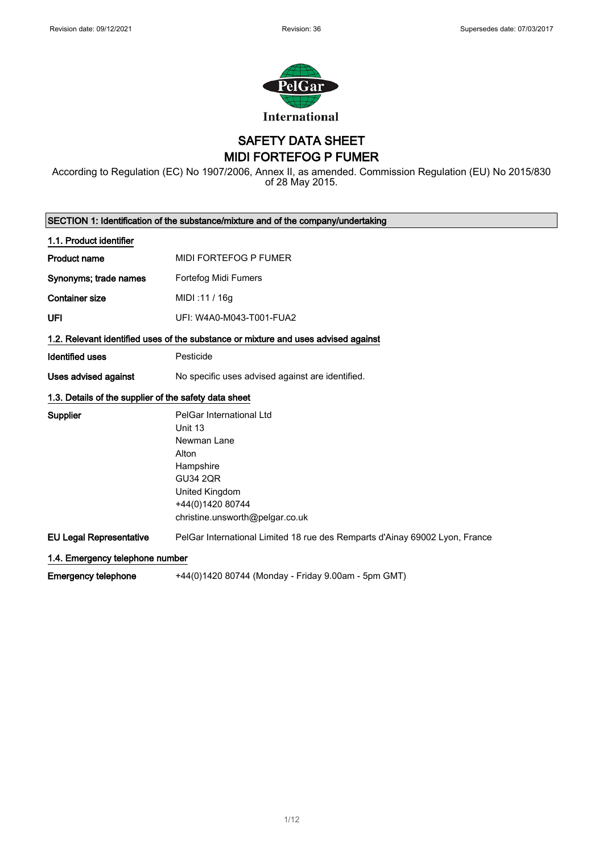

SAFETY DATA SHEET MIDI FORTEFOG P FUMER

According to Regulation (EC) No 1907/2006, Annex II, as amended. Commission Regulation (EU) No 2015/830 of 28 May 2015.

| SECTION 1: Identification of the substance/mixture and of the company/undertaking |                                                                                                                                                                      |  |
|-----------------------------------------------------------------------------------|----------------------------------------------------------------------------------------------------------------------------------------------------------------------|--|
| 1.1. Product identifier                                                           |                                                                                                                                                                      |  |
| <b>Product name</b>                                                               | MIDI FORTEFOG P FUMER                                                                                                                                                |  |
| Synonyms; trade names                                                             | Fortefog Midi Fumers                                                                                                                                                 |  |
| <b>Container size</b>                                                             | MIDI: 11 / 16g                                                                                                                                                       |  |
| UFI                                                                               | UFI: W4A0-M043-T001-FUA2                                                                                                                                             |  |
|                                                                                   | 1.2. Relevant identified uses of the substance or mixture and uses advised against                                                                                   |  |
| Identified uses                                                                   | Pesticide                                                                                                                                                            |  |
| Uses advised against                                                              | No specific uses advised against are identified.                                                                                                                     |  |
| 1.3. Details of the supplier of the safety data sheet                             |                                                                                                                                                                      |  |
| Supplier                                                                          | PelGar International Ltd<br>Unit 13<br>Newman Lane<br>Alton<br>Hampshire<br><b>GU34 2QR</b><br>United Kingdom<br>+44(0)1420 80744<br>christine.unsworth@pelgar.co.uk |  |
| <b>EU Legal Representative</b>                                                    | PelGar International Limited 18 rue des Remparts d'Ainay 69002 Lyon, France                                                                                          |  |
| 1.4. Emergency telephone number                                                   |                                                                                                                                                                      |  |
| <b>Emergency telephone</b>                                                        | +44(0)1420 80744 (Monday - Friday 9.00am - 5pm GMT)                                                                                                                  |  |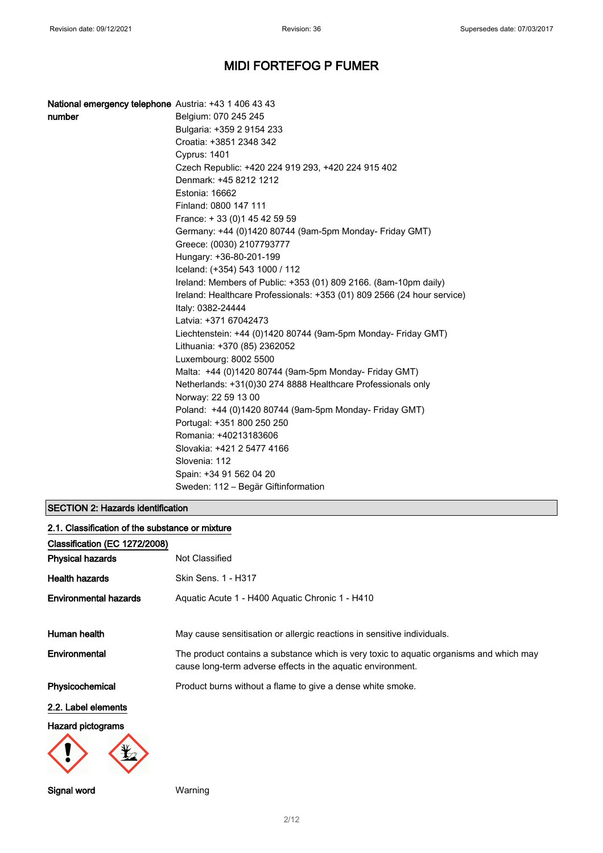| National emergency telephone Austria: +43 1 406 43 43 |                                                                         |
|-------------------------------------------------------|-------------------------------------------------------------------------|
| number                                                | Belgium: 070 245 245                                                    |
|                                                       | Bulgaria: +359 2 9154 233                                               |
|                                                       | Croatia: +3851 2348 342                                                 |
|                                                       | <b>Cyprus: 1401</b>                                                     |
|                                                       | Czech Republic: +420 224 919 293, +420 224 915 402                      |
|                                                       | Denmark: +45 8212 1212                                                  |
|                                                       | Estonia: 16662                                                          |
|                                                       | Finland: 0800 147 111                                                   |
|                                                       | France: +33 (0) 145 42 59 59                                            |
|                                                       | Germany: +44 (0)1420 80744 (9am-5pm Monday- Friday GMT)                 |
|                                                       | Greece: (0030) 2107793777                                               |
|                                                       | Hungary: +36-80-201-199                                                 |
|                                                       | Iceland: (+354) 543 1000 / 112                                          |
|                                                       | Ireland: Members of Public: +353 (01) 809 2166. (8am-10pm daily)        |
|                                                       | Ireland: Healthcare Professionals: +353 (01) 809 2566 (24 hour service) |
|                                                       | Italy: 0382-24444                                                       |
|                                                       | Latvia: +371 67042473                                                   |
|                                                       | Liechtenstein: +44 (0)1420 80744 (9am-5pm Monday- Friday GMT)           |
|                                                       | Lithuania: +370 (85) 2362052                                            |
|                                                       | Luxembourg: 8002 5500                                                   |
|                                                       | Malta: +44 (0)1420 80744 (9am-5pm Monday- Friday GMT)                   |
|                                                       | Netherlands: +31(0)30 274 8888 Healthcare Professionals only            |
|                                                       | Norway: 22 59 13 00                                                     |
|                                                       | Poland: +44 (0)1420 80744 (9am-5pm Monday- Friday GMT)                  |
|                                                       | Portugal: +351 800 250 250                                              |
|                                                       | Romania: +40213183606                                                   |
|                                                       | Slovakia: +421 2 5477 4166                                              |
|                                                       | Slovenia: 112                                                           |
|                                                       | Spain: +34 91 562 04 20                                                 |
|                                                       | Sweden: 112 – Begär Giftinformation                                     |

### SECTION 2: Hazards identification

| 2.1. Classification of the substance or mixture |                                                                                                                                                        |  |
|-------------------------------------------------|--------------------------------------------------------------------------------------------------------------------------------------------------------|--|
| Classification (EC 1272/2008)                   |                                                                                                                                                        |  |
| <b>Physical hazards</b>                         | Not Classified                                                                                                                                         |  |
| <b>Health hazards</b>                           | Skin Sens. 1 - H317                                                                                                                                    |  |
| <b>Environmental hazards</b>                    | Aquatic Acute 1 - H400 Aquatic Chronic 1 - H410                                                                                                        |  |
| Human health                                    | May cause sensitisation or allergic reactions in sensitive individuals.                                                                                |  |
| Environmental                                   | The product contains a substance which is very toxic to aquatic organisms and which may<br>cause long-term adverse effects in the aquatic environment. |  |
| Physicochemical                                 | Product burns without a flame to give a dense white smoke.                                                                                             |  |
| 2.2. Label elements                             |                                                                                                                                                        |  |
| <b>Hazard pictograms</b>                        |                                                                                                                                                        |  |
|                                                 |                                                                                                                                                        |  |

Signal word Warning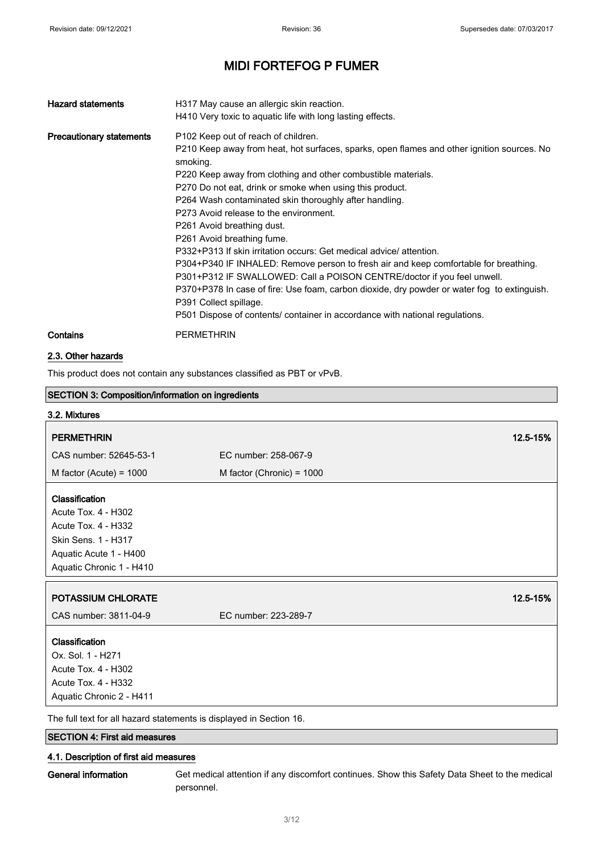| <b>Hazard statements</b>        | H317 May cause an allergic skin reaction.<br>H410 Very toxic to aquatic life with long lasting effects.                                                                                                                                                                                                                                                                                                                                                                                                                                                                                                                                                                                                                                                                                                                                                                                      |
|---------------------------------|----------------------------------------------------------------------------------------------------------------------------------------------------------------------------------------------------------------------------------------------------------------------------------------------------------------------------------------------------------------------------------------------------------------------------------------------------------------------------------------------------------------------------------------------------------------------------------------------------------------------------------------------------------------------------------------------------------------------------------------------------------------------------------------------------------------------------------------------------------------------------------------------|
| <b>Precautionary statements</b> | P102 Keep out of reach of children.<br>P210 Keep away from heat, hot surfaces, sparks, open flames and other ignition sources. No<br>smoking.<br>P220 Keep away from clothing and other combustible materials.<br>P270 Do not eat, drink or smoke when using this product.<br>P264 Wash contaminated skin thoroughly after handling.<br>P273 Avoid release to the environment.<br>P261 Avoid breathing dust.<br>P261 Avoid breathing fume.<br>P332+P313 If skin irritation occurs: Get medical advice/attention.<br>P304+P340 IF INHALED: Remove person to fresh air and keep comfortable for breathing.<br>P301+P312 IF SWALLOWED: Call a POISON CENTRE/doctor if you feel unwell.<br>P370+P378 In case of fire: Use foam, carbon dioxide, dry powder or water fog to extinguish.<br>P391 Collect spillage.<br>P501 Dispose of contents/ container in accordance with national regulations. |
| Contains                        | <b>PERMETHRIN</b>                                                                                                                                                                                                                                                                                                                                                                                                                                                                                                                                                                                                                                                                                                                                                                                                                                                                            |

### 2.3. Other hazards

This product does not contain any substances classified as PBT or vPvB.

| <b>SECTION 3: Composition/information on ingredients</b>           |                             |          |
|--------------------------------------------------------------------|-----------------------------|----------|
| 3.2. Mixtures                                                      |                             |          |
| <b>PERMETHRIN</b>                                                  |                             | 12.5-15% |
| CAS number: 52645-53-1                                             | EC number: 258-067-9        |          |
| M factor (Acute) = $1000$                                          | M factor (Chronic) = $1000$ |          |
|                                                                    |                             |          |
| Classification                                                     |                             |          |
| Acute Tox. 4 - H302                                                |                             |          |
| <b>Acute Tox. 4 - H332</b>                                         |                             |          |
| Skin Sens. 1 - H317                                                |                             |          |
| Aquatic Acute 1 - H400                                             |                             |          |
| Aquatic Chronic 1 - H410                                           |                             |          |
|                                                                    |                             |          |
| <b>POTASSIUM CHLORATE</b>                                          |                             | 12.5-15% |
| CAS number: 3811-04-9                                              | EC number: 223-289-7        |          |
| Classification                                                     |                             |          |
| Ox. Sol. 1 - H271                                                  |                             |          |
| Acute Tox. 4 - H302                                                |                             |          |
| Acute Tox. 4 - H332                                                |                             |          |
| Aquatic Chronic 2 - H411                                           |                             |          |
| The full text fer all bezerd etatements is displayed in Coetian 16 |                             |          |

The full text for all hazard statements is displayed in Section 16.

## SECTION 4: First aid measures

### 4.1. Description of first aid measures

General information Get medical attention if any discomfort continues. Show this Safety Data Sheet to the medical personnel.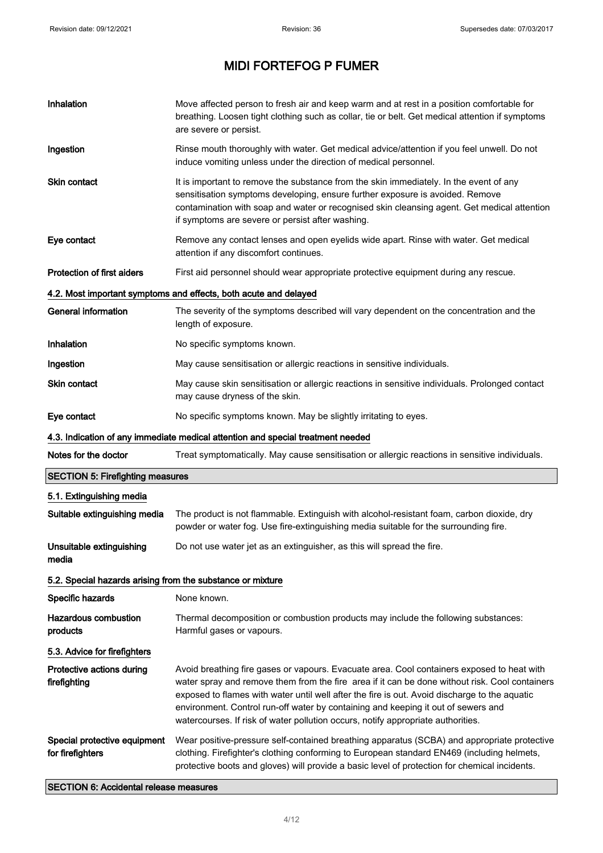$\blacksquare$ 

# MIDI FORTEFOG P FUMER

| Inhalation                                                 | Move affected person to fresh air and keep warm and at rest in a position comfortable for<br>breathing. Loosen tight clothing such as collar, tie or belt. Get medical attention if symptoms<br>are severe or persist.                                                                                                                                                                                                                                                 |
|------------------------------------------------------------|------------------------------------------------------------------------------------------------------------------------------------------------------------------------------------------------------------------------------------------------------------------------------------------------------------------------------------------------------------------------------------------------------------------------------------------------------------------------|
| Ingestion                                                  | Rinse mouth thoroughly with water. Get medical advice/attention if you feel unwell. Do not<br>induce vomiting unless under the direction of medical personnel.                                                                                                                                                                                                                                                                                                         |
| <b>Skin contact</b>                                        | It is important to remove the substance from the skin immediately. In the event of any<br>sensitisation symptoms developing, ensure further exposure is avoided. Remove<br>contamination with soap and water or recognised skin cleansing agent. Get medical attention<br>if symptoms are severe or persist after washing.                                                                                                                                             |
| Eye contact                                                | Remove any contact lenses and open eyelids wide apart. Rinse with water. Get medical<br>attention if any discomfort continues.                                                                                                                                                                                                                                                                                                                                         |
| <b>Protection of first aiders</b>                          | First aid personnel should wear appropriate protective equipment during any rescue.                                                                                                                                                                                                                                                                                                                                                                                    |
|                                                            | 4.2. Most important symptoms and effects, both acute and delayed                                                                                                                                                                                                                                                                                                                                                                                                       |
| <b>General information</b>                                 | The severity of the symptoms described will vary dependent on the concentration and the<br>length of exposure.                                                                                                                                                                                                                                                                                                                                                         |
| Inhalation                                                 | No specific symptoms known.                                                                                                                                                                                                                                                                                                                                                                                                                                            |
| Ingestion                                                  | May cause sensitisation or allergic reactions in sensitive individuals.                                                                                                                                                                                                                                                                                                                                                                                                |
| <b>Skin contact</b>                                        | May cause skin sensitisation or allergic reactions in sensitive individuals. Prolonged contact<br>may cause dryness of the skin.                                                                                                                                                                                                                                                                                                                                       |
| Eye contact                                                | No specific symptoms known. May be slightly irritating to eyes.                                                                                                                                                                                                                                                                                                                                                                                                        |
|                                                            | 4.3. Indication of any immediate medical attention and special treatment needed                                                                                                                                                                                                                                                                                                                                                                                        |
| Notes for the doctor                                       | Treat symptomatically. May cause sensitisation or allergic reactions in sensitive individuals.                                                                                                                                                                                                                                                                                                                                                                         |
| <b>SECTION 5: Firefighting measures</b>                    |                                                                                                                                                                                                                                                                                                                                                                                                                                                                        |
| 5.1. Extinguishing media                                   |                                                                                                                                                                                                                                                                                                                                                                                                                                                                        |
| Suitable extinguishing media                               | The product is not flammable. Extinguish with alcohol-resistant foam, carbon dioxide, dry<br>powder or water fog. Use fire-extinguishing media suitable for the surrounding fire.                                                                                                                                                                                                                                                                                      |
| Unsuitable extinguishing<br>media                          | Do not use water jet as an extinguisher, as this will spread the fire.                                                                                                                                                                                                                                                                                                                                                                                                 |
| 5.2. Special hazards arising from the substance or mixture |                                                                                                                                                                                                                                                                                                                                                                                                                                                                        |
| Specific hazards                                           | None known.                                                                                                                                                                                                                                                                                                                                                                                                                                                            |
| <b>Hazardous combustion</b><br>products                    | Thermal decomposition or combustion products may include the following substances:<br>Harmful gases or vapours.                                                                                                                                                                                                                                                                                                                                                        |
| 5.3. Advice for firefighters                               |                                                                                                                                                                                                                                                                                                                                                                                                                                                                        |
| Protective actions during<br>firefighting                  | Avoid breathing fire gases or vapours. Evacuate area. Cool containers exposed to heat with<br>water spray and remove them from the fire area if it can be done without risk. Cool containers<br>exposed to flames with water until well after the fire is out. Avoid discharge to the aquatic<br>environment. Control run-off water by containing and keeping it out of sewers and<br>watercourses. If risk of water pollution occurs, notify appropriate authorities. |
| Special protective equipment<br>for firefighters           | Wear positive-pressure self-contained breathing apparatus (SCBA) and appropriate protective<br>clothing. Firefighter's clothing conforming to European standard EN469 (including helmets,<br>protective boots and gloves) will provide a basic level of protection for chemical incidents.                                                                                                                                                                             |

SECTION 6: Accidental release measures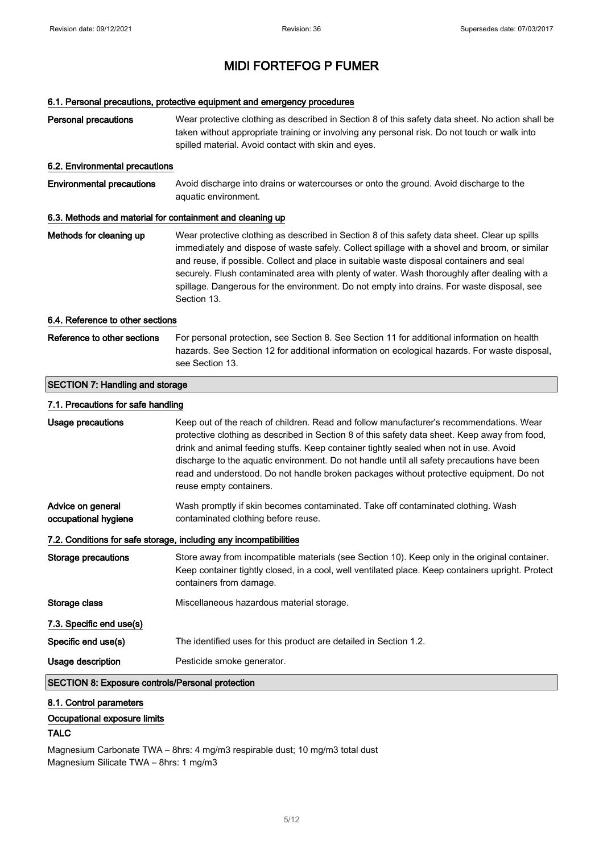### 6.1. Personal precautions, protective equipment and emergency procedures

| <b>Personal precautions</b>                               | Wear protective clothing as described in Section 8 of this safety data sheet. No action shall be<br>taken without appropriate training or involving any personal risk. Do not touch or walk into<br>spilled material. Avoid contact with skin and eyes.                                                                                                                                                                                                                                                 |  |
|-----------------------------------------------------------|---------------------------------------------------------------------------------------------------------------------------------------------------------------------------------------------------------------------------------------------------------------------------------------------------------------------------------------------------------------------------------------------------------------------------------------------------------------------------------------------------------|--|
| 6.2. Environmental precautions                            |                                                                                                                                                                                                                                                                                                                                                                                                                                                                                                         |  |
| <b>Environmental precautions</b>                          | Avoid discharge into drains or watercourses or onto the ground. Avoid discharge to the<br>aquatic environment.                                                                                                                                                                                                                                                                                                                                                                                          |  |
| 6.3. Methods and material for containment and cleaning up |                                                                                                                                                                                                                                                                                                                                                                                                                                                                                                         |  |
| Methods for cleaning up                                   | Wear protective clothing as described in Section 8 of this safety data sheet. Clear up spills<br>immediately and dispose of waste safely. Collect spillage with a shovel and broom, or similar<br>and reuse, if possible. Collect and place in suitable waste disposal containers and seal<br>securely. Flush contaminated area with plenty of water. Wash thoroughly after dealing with a<br>spillage. Dangerous for the environment. Do not empty into drains. For waste disposal, see<br>Section 13. |  |
| 6.4. Reference to other sections                          |                                                                                                                                                                                                                                                                                                                                                                                                                                                                                                         |  |
| Reference to other sections                               | For personal protection, see Section 8. See Section 11 for additional information on health<br>hazards. See Section 12 for additional information on ecological hazards. For waste disposal,<br>see Section 13.                                                                                                                                                                                                                                                                                         |  |
| <b>SECTION 7: Handling and storage</b>                    |                                                                                                                                                                                                                                                                                                                                                                                                                                                                                                         |  |
| 7.1. Precautions for safe handling                        |                                                                                                                                                                                                                                                                                                                                                                                                                                                                                                         |  |
| <b>Usage precautions</b>                                  | Keep out of the reach of children. Read and follow manufacturer's recommendations. Wear<br>protective clothing as described in Section 8 of this safety data sheet. Keep away from food,<br>drink and animal feeding stuffs. Keep container tightly sealed when not in use. Avoid<br>discharge to the aquatic environment. Do not handle until all safety precautions have been<br>read and understood. Do not handle broken packages without protective equipment. Do not<br>reuse empty containers.   |  |
| Advice on general<br>occupational hygiene                 | Wash promptly if skin becomes contaminated. Take off contaminated clothing. Wash<br>contaminated clothing before reuse.                                                                                                                                                                                                                                                                                                                                                                                 |  |
|                                                           | 7.2. Conditions for safe storage, including any incompatibilities                                                                                                                                                                                                                                                                                                                                                                                                                                       |  |
| <b>Storage precautions</b>                                | Store away from incompatible materials (see Section 10). Keep only in the original container.<br>Keep container tightly closed, in a cool, well ventilated place. Keep containers upright. Protect<br>containers from damage.                                                                                                                                                                                                                                                                           |  |
| Storage class                                             | Miscellaneous hazardous material storage.                                                                                                                                                                                                                                                                                                                                                                                                                                                               |  |
| 7.3. Specific end use(s)                                  |                                                                                                                                                                                                                                                                                                                                                                                                                                                                                                         |  |
| Specific end use(s)                                       | The identified uses for this product are detailed in Section 1.2.                                                                                                                                                                                                                                                                                                                                                                                                                                       |  |
| Usage description                                         | Pesticide smoke generator.                                                                                                                                                                                                                                                                                                                                                                                                                                                                              |  |
| <b>SECTION 8: Exposure controls/Personal protection</b>   |                                                                                                                                                                                                                                                                                                                                                                                                                                                                                                         |  |

### 8.1. Control parameters

### Occupational exposure limits

## TALC

Magnesium Carbonate TWA – 8hrs: 4 mg/m3 respirable dust; 10 mg/m3 total dust Magnesium Silicate TWA – 8hrs: 1 mg/m3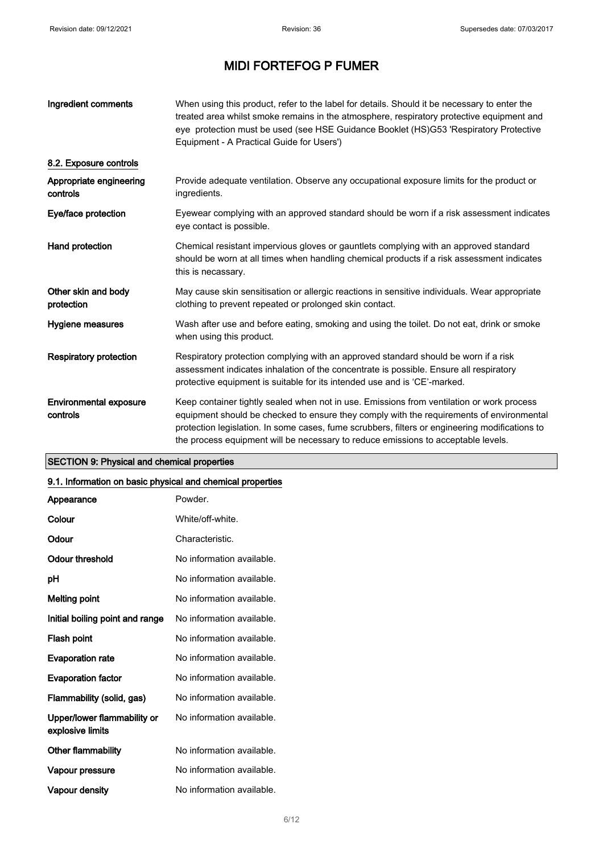| Ingredient comments                       | When using this product, refer to the label for details. Should it be necessary to enter the<br>treated area whilst smoke remains in the atmosphere, respiratory protective equipment and<br>eye protection must be used (see HSE Guidance Booklet (HS)G53 'Respiratory Protective<br>Equipment - A Practical Guide for Users')                                              |
|-------------------------------------------|------------------------------------------------------------------------------------------------------------------------------------------------------------------------------------------------------------------------------------------------------------------------------------------------------------------------------------------------------------------------------|
| 8.2. Exposure controls                    |                                                                                                                                                                                                                                                                                                                                                                              |
| Appropriate engineering<br>controls       | Provide adequate ventilation. Observe any occupational exposure limits for the product or<br>ingredients.                                                                                                                                                                                                                                                                    |
| Eye/face protection                       | Eyewear complying with an approved standard should be worn if a risk assessment indicates<br>eye contact is possible.                                                                                                                                                                                                                                                        |
| Hand protection                           | Chemical resistant impervious gloves or gauntlets complying with an approved standard<br>should be worn at all times when handling chemical products if a risk assessment indicates<br>this is necassary.                                                                                                                                                                    |
| Other skin and body<br>protection         | May cause skin sensitisation or allergic reactions in sensitive individuals. Wear appropriate<br>clothing to prevent repeated or prolonged skin contact.                                                                                                                                                                                                                     |
| Hygiene measures                          | Wash after use and before eating, smoking and using the toilet. Do not eat, drink or smoke<br>when using this product.                                                                                                                                                                                                                                                       |
| <b>Respiratory protection</b>             | Respiratory protection complying with an approved standard should be worn if a risk<br>assessment indicates inhalation of the concentrate is possible. Ensure all respiratory<br>protective equipment is suitable for its intended use and is 'CE'-marked.                                                                                                                   |
| <b>Environmental exposure</b><br>controls | Keep container tightly sealed when not in use. Emissions from ventilation or work process<br>equipment should be checked to ensure they comply with the requirements of environmental<br>protection legislation. In some cases, fume scrubbers, filters or engineering modifications to<br>the process equipment will be necessary to reduce emissions to acceptable levels. |

### SECTION 9: Physical and chemical properties

### 9.1. Information on basic physical and chemical properties

| Appearance                                      | Powder.                   |
|-------------------------------------------------|---------------------------|
| Colour                                          | White/off-white.          |
| Odour                                           | Characteristic.           |
| Odour threshold                                 | No information available. |
| рH                                              | No information available. |
| Melting point                                   | No information available. |
| Initial boiling point and range                 | No information available. |
| Flash point                                     | No information available. |
| <b>Evaporation rate</b>                         | No information available. |
| <b>Evaporation factor</b>                       | No information available. |
| Flammability (solid, gas)                       | No information available. |
| Upper/lower flammability or<br>explosive limits | No information available. |
| Other flammability                              | No information available. |
| Vapour pressure                                 | No information available. |
| <b>Vapour density</b>                           | No information available. |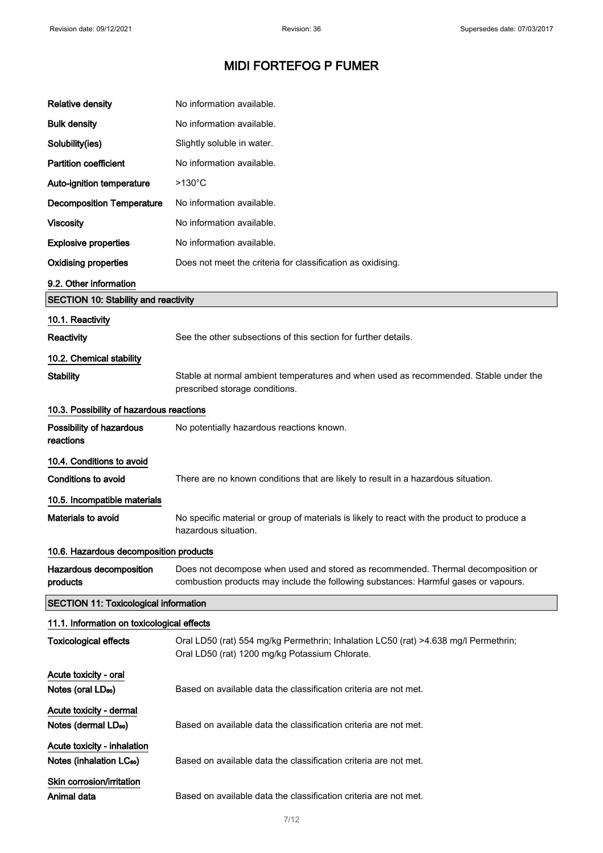| <b>Relative density</b>                                             | No information available.                                                                                                                                               |
|---------------------------------------------------------------------|-------------------------------------------------------------------------------------------------------------------------------------------------------------------------|
| <b>Bulk density</b>                                                 | No information available.                                                                                                                                               |
| Solubility(ies)                                                     | Slightly soluble in water.                                                                                                                                              |
| <b>Partition coefficient</b>                                        | No information available.                                                                                                                                               |
| Auto-ignition temperature                                           | $>130^{\circ}$ C                                                                                                                                                        |
| <b>Decomposition Temperature</b>                                    | No information available.                                                                                                                                               |
| <b>Viscosity</b>                                                    | No information available.                                                                                                                                               |
| <b>Explosive properties</b>                                         | No information available.                                                                                                                                               |
| <b>Oxidising properties</b>                                         | Does not meet the criteria for classification as oxidising.                                                                                                             |
| 9.2. Other information                                              |                                                                                                                                                                         |
| <b>SECTION 10: Stability and reactivity</b>                         |                                                                                                                                                                         |
| 10.1. Reactivity                                                    |                                                                                                                                                                         |
| Reactivity                                                          | See the other subsections of this section for further details.                                                                                                          |
| 10.2. Chemical stability                                            |                                                                                                                                                                         |
| <b>Stability</b>                                                    | Stable at normal ambient temperatures and when used as recommended. Stable under the<br>prescribed storage conditions.                                                  |
| 10.3. Possibility of hazardous reactions                            |                                                                                                                                                                         |
| Possibility of hazardous<br>reactions                               | No potentially hazardous reactions known.                                                                                                                               |
| 10.4. Conditions to avoid                                           |                                                                                                                                                                         |
| <b>Conditions to avoid</b>                                          | There are no known conditions that are likely to result in a hazardous situation.                                                                                       |
| 10.5. Incompatible materials                                        |                                                                                                                                                                         |
| Materials to avoid                                                  | No specific material or group of materials is likely to react with the product to produce a<br>hazardous situation.                                                     |
| 10.6. Hazardous decomposition products                              |                                                                                                                                                                         |
| Hazardous decomposition<br>products                                 | Does not decompose when used and stored as recommended. Thermal decomposition or<br>combustion products may include the following substances: Harmful gases or vapours. |
| <b>SECTION 11: Toxicological information</b>                        |                                                                                                                                                                         |
| 11.1. Information on toxicological effects                          |                                                                                                                                                                         |
| <b>Toxicological effects</b>                                        | Oral LD50 (rat) 554 mg/kg Permethrin; Inhalation LC50 (rat) >4.638 mg/l Permethrin;<br>Oral LD50 (rat) 1200 mg/kg Potassium Chlorate.                                   |
| Acute toxicity - oral<br>Notes (oral LD <sub>50</sub> )             | Based on available data the classification criteria are not met.                                                                                                        |
| Acute toxicity - dermal<br>Notes (dermal LD <sub>50</sub> )         | Based on available data the classification criteria are not met.                                                                                                        |
| Acute toxicity - inhalation<br>Notes (inhalation LC <sub>50</sub> ) | Based on available data the classification criteria are not met.                                                                                                        |
| Skin corrosion/irritation<br>Animal data                            | Based on available data the classification criteria are not met.                                                                                                        |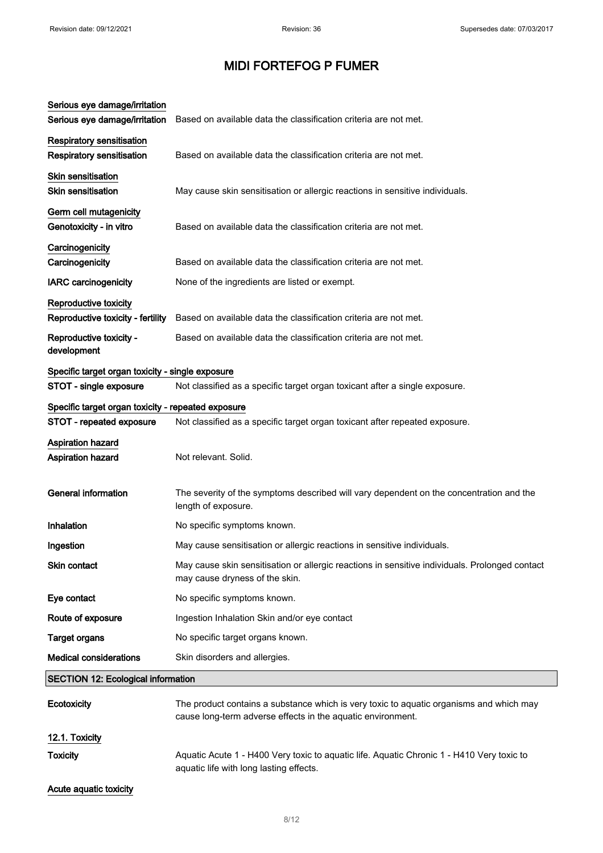| Serious eye damage/irritation<br>Serious eye damage/irritation       | Based on available data the classification criteria are not met.                                                                                       |  |
|----------------------------------------------------------------------|--------------------------------------------------------------------------------------------------------------------------------------------------------|--|
| <b>Respiratory sensitisation</b><br><b>Respiratory sensitisation</b> | Based on available data the classification criteria are not met.                                                                                       |  |
| Skin sensitisation<br>Skin sensitisation                             | May cause skin sensitisation or allergic reactions in sensitive individuals.                                                                           |  |
| Germ cell mutagenicity<br>Genotoxicity - in vitro                    | Based on available data the classification criteria are not met.                                                                                       |  |
| Carcinogenicity<br>Carcinogenicity                                   | Based on available data the classification criteria are not met.                                                                                       |  |
| <b>IARC</b> carcinogenicity                                          | None of the ingredients are listed or exempt.                                                                                                          |  |
| <b>Reproductive toxicity</b><br>Reproductive toxicity - fertility    | Based on available data the classification criteria are not met.                                                                                       |  |
| Reproductive toxicity -<br>development                               | Based on available data the classification criteria are not met.                                                                                       |  |
| Specific target organ toxicity - single exposure                     |                                                                                                                                                        |  |
| STOT - single exposure                                               | Not classified as a specific target organ toxicant after a single exposure.                                                                            |  |
| Specific target organ toxicity - repeated exposure                   |                                                                                                                                                        |  |
| STOT - repeated exposure                                             | Not classified as a specific target organ toxicant after repeated exposure.                                                                            |  |
| <b>Aspiration hazard</b>                                             |                                                                                                                                                        |  |
| Aspiration hazard                                                    | Not relevant. Solid.                                                                                                                                   |  |
| <b>General information</b>                                           | The severity of the symptoms described will vary dependent on the concentration and the<br>length of exposure.                                         |  |
| Inhalation                                                           | No specific symptoms known.                                                                                                                            |  |
| Ingestion                                                            | May cause sensitisation or allergic reactions in sensitive individuals.                                                                                |  |
| <b>Skin contact</b>                                                  | May cause skin sensitisation or allergic reactions in sensitive individuals. Prolonged contact<br>may cause dryness of the skin.                       |  |
| Eye contact                                                          | No specific symptoms known.                                                                                                                            |  |
| Route of exposure                                                    | Ingestion Inhalation Skin and/or eye contact                                                                                                           |  |
| <b>Target organs</b>                                                 | No specific target organs known.                                                                                                                       |  |
| <b>Medical considerations</b>                                        | Skin disorders and allergies.                                                                                                                          |  |
|                                                                      | <b>SECTION 12: Ecological information</b>                                                                                                              |  |
| Ecotoxicity                                                          | The product contains a substance which is very toxic to aquatic organisms and which may<br>cause long-term adverse effects in the aquatic environment. |  |
| 12.1. Toxicity                                                       |                                                                                                                                                        |  |
| <b>Toxicity</b>                                                      | Aquatic Acute 1 - H400 Very toxic to aquatic life. Aquatic Chronic 1 - H410 Very toxic to<br>aquatic life with long lasting effects.                   |  |
| Acute aquatic toxicity                                               |                                                                                                                                                        |  |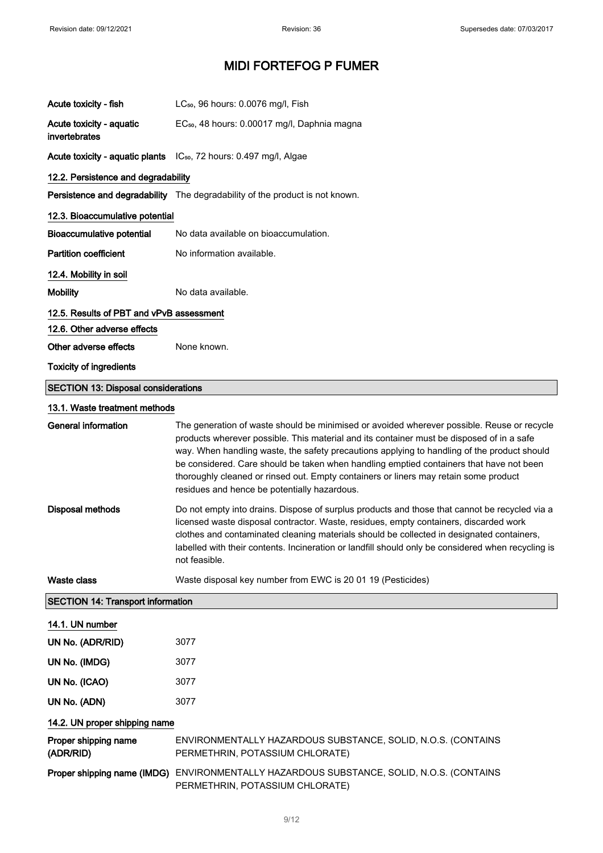| Acute toxicity - fish                      | LC <sub>50</sub> , 96 hours: 0.0076 mg/l, Fish                                                                                                                                                                                                                                                                                                                                                                                                                                                                            |  |
|--------------------------------------------|---------------------------------------------------------------------------------------------------------------------------------------------------------------------------------------------------------------------------------------------------------------------------------------------------------------------------------------------------------------------------------------------------------------------------------------------------------------------------------------------------------------------------|--|
| Acute toxicity - aquatic<br>invertebrates  | EC <sub>50</sub> , 48 hours: 0.00017 mg/l, Daphnia magna                                                                                                                                                                                                                                                                                                                                                                                                                                                                  |  |
|                                            | Acute toxicity - aquatic plants IC <sub>50</sub> , 72 hours: 0.497 mg/l, Algae                                                                                                                                                                                                                                                                                                                                                                                                                                            |  |
| 12.2. Persistence and degradability        |                                                                                                                                                                                                                                                                                                                                                                                                                                                                                                                           |  |
|                                            | Persistence and degradability The degradability of the product is not known.                                                                                                                                                                                                                                                                                                                                                                                                                                              |  |
| 12.3. Bioaccumulative potential            |                                                                                                                                                                                                                                                                                                                                                                                                                                                                                                                           |  |
| <b>Bioaccumulative potential</b>           | No data available on bioaccumulation.                                                                                                                                                                                                                                                                                                                                                                                                                                                                                     |  |
| <b>Partition coefficient</b>               | No information available.                                                                                                                                                                                                                                                                                                                                                                                                                                                                                                 |  |
| 12.4. Mobility in soil                     |                                                                                                                                                                                                                                                                                                                                                                                                                                                                                                                           |  |
| <b>Mobility</b>                            | No data available.                                                                                                                                                                                                                                                                                                                                                                                                                                                                                                        |  |
| 12.5. Results of PBT and vPvB assessment   |                                                                                                                                                                                                                                                                                                                                                                                                                                                                                                                           |  |
| 12.6. Other adverse effects                |                                                                                                                                                                                                                                                                                                                                                                                                                                                                                                                           |  |
| Other adverse effects                      | None known.                                                                                                                                                                                                                                                                                                                                                                                                                                                                                                               |  |
| <b>Toxicity of ingredients</b>             |                                                                                                                                                                                                                                                                                                                                                                                                                                                                                                                           |  |
| <b>SECTION 13: Disposal considerations</b> |                                                                                                                                                                                                                                                                                                                                                                                                                                                                                                                           |  |
| 13.1. Waste treatment methods              |                                                                                                                                                                                                                                                                                                                                                                                                                                                                                                                           |  |
| <b>General information</b>                 | The generation of waste should be minimised or avoided wherever possible. Reuse or recycle<br>products wherever possible. This material and its container must be disposed of in a safe<br>way. When handling waste, the safety precautions applying to handling of the product should<br>be considered. Care should be taken when handling emptied containers that have not been<br>thoroughly cleaned or rinsed out. Empty containers or liners may retain some product<br>residues and hence be potentially hazardous. |  |
| <b>Disposal methods</b>                    | Do not empty into drains. Dispose of surplus products and those that cannot be recycled via a<br>licensed waste disposal contractor. Waste, residues, empty containers, discarded work<br>clothes and contaminated cleaning materials should be collected in designated containers,<br>labelled with their contents. Incineration or landfill should only be considered when recycling is<br>not feasible.                                                                                                                |  |
| <b>Waste class</b>                         | Waste disposal key number from EWC is 20 01 19 (Pesticides)                                                                                                                                                                                                                                                                                                                                                                                                                                                               |  |
| <b>SECTION 14: Transport information</b>   |                                                                                                                                                                                                                                                                                                                                                                                                                                                                                                                           |  |
| 14.1. UN number                            |                                                                                                                                                                                                                                                                                                                                                                                                                                                                                                                           |  |
| UN No. (ADR/RID)                           | 3077                                                                                                                                                                                                                                                                                                                                                                                                                                                                                                                      |  |
| UN No. (IMDG)                              | 3077                                                                                                                                                                                                                                                                                                                                                                                                                                                                                                                      |  |
| UN No. (ICAO)                              | 3077                                                                                                                                                                                                                                                                                                                                                                                                                                                                                                                      |  |
| UN No. (ADN)                               | 3077                                                                                                                                                                                                                                                                                                                                                                                                                                                                                                                      |  |
| 14.2. UN proper shipping name              |                                                                                                                                                                                                                                                                                                                                                                                                                                                                                                                           |  |
| Proper shipping name<br>(ADR/RID)          | ENVIRONMENTALLY HAZARDOUS SUBSTANCE, SOLID, N.O.S. (CONTAINS<br>PERMETHRIN, POTASSIUM CHLORATE)                                                                                                                                                                                                                                                                                                                                                                                                                           |  |
|                                            | Proper shipping name (IMDG) ENVIRONMENTALLY HAZARDOUS SUBSTANCE, SOLID, N.O.S. (CONTAINS<br>PERMETHRIN, POTASSIUM CHLORATE)                                                                                                                                                                                                                                                                                                                                                                                               |  |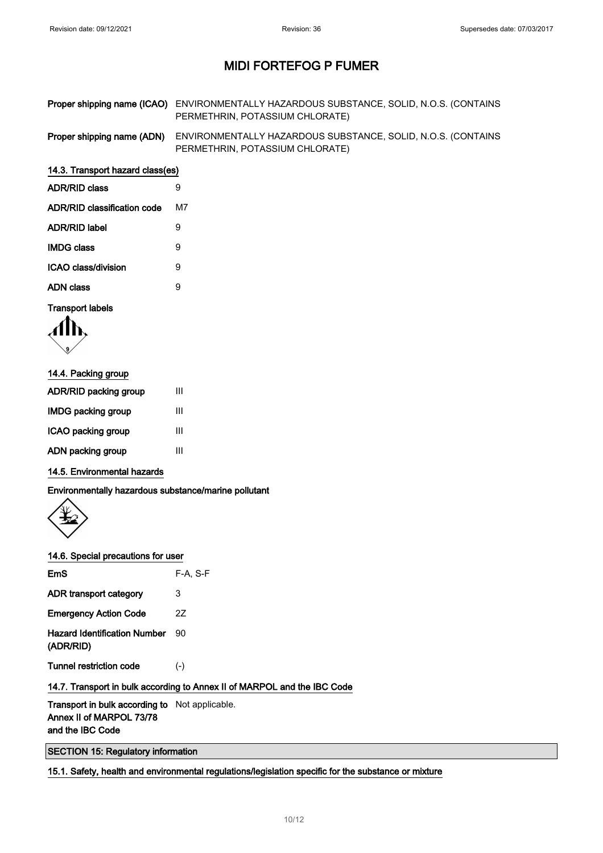| Proper shipping name (ICAO) ENVIRONMENTALLY HAZARDOUS SUBSTANCE, SOLID, N.O.S. (CONTAINS |
|------------------------------------------------------------------------------------------|
| PERMETHRIN, POTASSIUM CHLORATE)                                                          |

Proper shipping name (ADN) ENVIRONMENTALLY HAZARDOUS SUBSTANCE, SOLID, N.O.S. (CONTAINS PERMETHRIN, POTASSIUM CHLORATE)

#### 14.3. Transport hazard class(es)

| <b>ADR/RID class</b>        | 9  |
|-----------------------------|----|
| ADR/RID classification code | м7 |
| ADR/RID label               | 9  |
| <b>IMDG class</b>           | 9  |
| ICAO class/division         | 9  |
| ADN class                   | g  |
|                             |    |

#### Transport labels

| 14.4. Packing group          |   |  |
|------------------------------|---|--|
| <b>ADR/RID packing group</b> | Ш |  |
| <b>IMDG packing group</b>    | Ш |  |
| ICAO packing group           | Ш |  |
| ADN packing group            | Ш |  |

#### 14.5. Environmental hazards

Environmentally hazardous substance/marine pollutant



#### 14.6. Special precautions for user

| $F-A. S-F$ |
|------------|
| 3          |
| 27         |
| 90         |
| $(-)$      |
|            |

### 14.7. Transport in bulk according to Annex II of MARPOL and the IBC Code

Transport in bulk according to Not applicable. Annex II of MARPOL 73/78 and the IBC Code

SECTION 15: Regulatory information

15.1. Safety, health and environmental regulations/legislation specific for the substance or mixture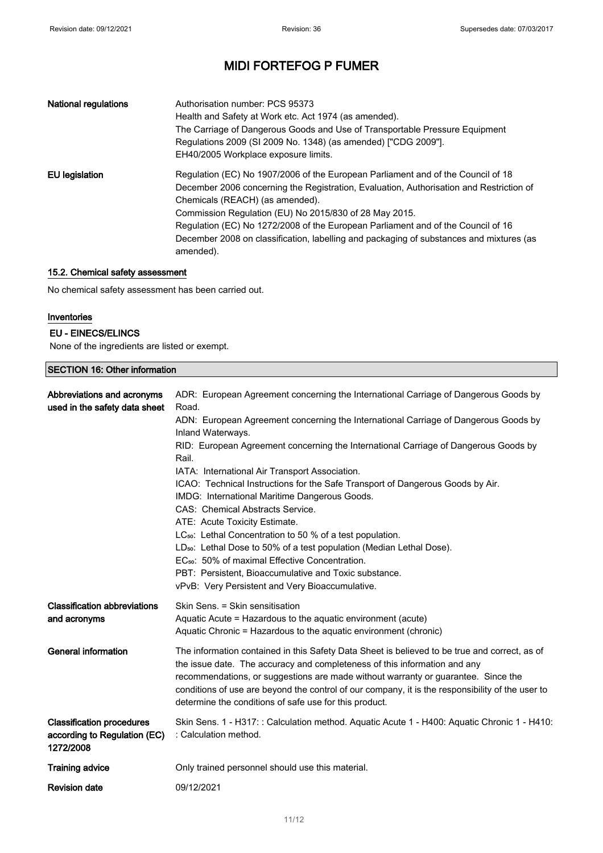| National regulations | Authorisation number: PCS 95373<br>Health and Safety at Work etc. Act 1974 (as amended).<br>The Carriage of Dangerous Goods and Use of Transportable Pressure Equipment<br>Regulations 2009 (SI 2009 No. 1348) (as amended) ["CDG 2009"].<br>EH40/2005 Workplace exposure limits.                                                                                                                                                                                    |
|----------------------|----------------------------------------------------------------------------------------------------------------------------------------------------------------------------------------------------------------------------------------------------------------------------------------------------------------------------------------------------------------------------------------------------------------------------------------------------------------------|
| EU legislation       | Regulation (EC) No 1907/2006 of the European Parliament and of the Council of 18<br>December 2006 concerning the Registration, Evaluation, Authorisation and Restriction of<br>Chemicals (REACH) (as amended).<br>Commission Regulation (EU) No 2015/830 of 28 May 2015.<br>Regulation (EC) No 1272/2008 of the European Parliament and of the Council of 16<br>December 2008 on classification, labelling and packaging of substances and mixtures (as<br>amended). |

### 15.2. Chemical safety assessment

No chemical safety assessment has been carried out.

### Inventories

#### EU - EINECS/ELINCS

None of the ingredients are listed or exempt.

### SECTION 16: Other information

| Abbreviations and acronyms<br>used in the safety data sheet                   | ADR: European Agreement concerning the International Carriage of Dangerous Goods by<br>Road.<br>ADN: European Agreement concerning the International Carriage of Dangerous Goods by<br>Inland Waterways.<br>RID: European Agreement concerning the International Carriage of Dangerous Goods by<br>Rail.<br>IATA: International Air Transport Association.<br>ICAO: Technical Instructions for the Safe Transport of Dangerous Goods by Air.<br>IMDG: International Maritime Dangerous Goods.<br>CAS: Chemical Abstracts Service.<br>ATE: Acute Toxicity Estimate.<br>LC <sub>50</sub> : Lethal Concentration to 50 % of a test population.<br>LD <sub>50</sub> : Lethal Dose to 50% of a test population (Median Lethal Dose).<br>EC <sub>50</sub> : 50% of maximal Effective Concentration.<br>PBT: Persistent, Bioaccumulative and Toxic substance.<br>vPvB: Very Persistent and Very Bioaccumulative. |
|-------------------------------------------------------------------------------|-----------------------------------------------------------------------------------------------------------------------------------------------------------------------------------------------------------------------------------------------------------------------------------------------------------------------------------------------------------------------------------------------------------------------------------------------------------------------------------------------------------------------------------------------------------------------------------------------------------------------------------------------------------------------------------------------------------------------------------------------------------------------------------------------------------------------------------------------------------------------------------------------------------|
| <b>Classification abbreviations</b><br>and acronyms                           | Skin Sens. = Skin sensitisation<br>Aquatic Acute = Hazardous to the aquatic environment (acute)<br>Aquatic Chronic = Hazardous to the aquatic environment (chronic)                                                                                                                                                                                                                                                                                                                                                                                                                                                                                                                                                                                                                                                                                                                                       |
| <b>General information</b>                                                    | The information contained in this Safety Data Sheet is believed to be true and correct, as of<br>the issue date. The accuracy and completeness of this information and any<br>recommendations, or suggestions are made without warranty or guarantee. Since the<br>conditions of use are beyond the control of our company, it is the responsibility of the user to<br>determine the conditions of safe use for this product.                                                                                                                                                                                                                                                                                                                                                                                                                                                                             |
| <b>Classification procedures</b><br>according to Regulation (EC)<br>1272/2008 | Skin Sens. 1 - H317: : Calculation method. Aquatic Acute 1 - H400: Aquatic Chronic 1 - H410:<br>: Calculation method.                                                                                                                                                                                                                                                                                                                                                                                                                                                                                                                                                                                                                                                                                                                                                                                     |
| <b>Training advice</b>                                                        | Only trained personnel should use this material.                                                                                                                                                                                                                                                                                                                                                                                                                                                                                                                                                                                                                                                                                                                                                                                                                                                          |
| <b>Revision date</b>                                                          | 09/12/2021                                                                                                                                                                                                                                                                                                                                                                                                                                                                                                                                                                                                                                                                                                                                                                                                                                                                                                |